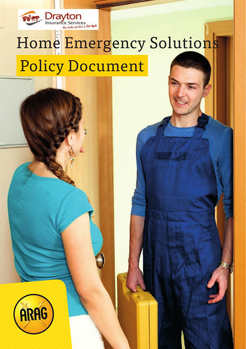

# Home Emergency Solutions Policy Document

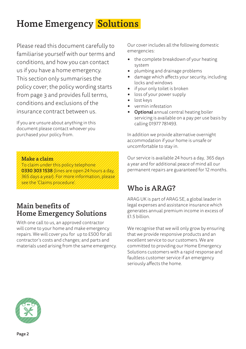## Home Emergency Solutions

Please read this document carefully to familiarise yourself with our terms and conditions, and how you can contact us if you have a home emergency. This section only summarises the policy cover; the policy wording starts from page 3 and provides full terms, conditions and exclusions of the insurance contract between us.

If you are unsure about anything in this document please contact whoever you purchased your policy from.

Make a claim

To claim under this policy telephone 0330 303 1538 (lines are open 24 hours a day, 365 days a year). For more information, please see the 'Claims procedure'.

## Main benefits of Home Emergency Solutions

With one call to us, an approved contractor will come to your home and make emergency repairs. We will cover you for up to £500 for all contractor's costs and changes; and parts and materials used arising from the same emergency. Our cover includes all the following domestic emergencies:

- the complete breakdown of your heating system
- plumbing and drainage problems
- damage which affects your security, including locks and windows
- if your only toilet is broken
- loss of your power supply
- lost keys
- vermin infestation
- Optional annual central heating boiler servicing is available on a pay per use basis by calling 01977 781493.

In addition we provide alternative overnight accommodation if your home is unsafe or uncomfortable to stay in.

Our service is available 24 hours a day, 365 days a year and for additional peace of mind all our permanent repairs are guaranteed for 12 months.

## Who is ARAG?

ARAG UK is part of ARAG SE, a global leader in legal expenses and assistance insurance which generates annual premium income in excess of £1.5 billion.

We recognise that we will only grow by ensuring that we provide responsive products and an excellent service to our customers. We are committed to providing our Home Emergency Solutions customers with a rapid response and faultless customer service if an emergency seriously affects the home.

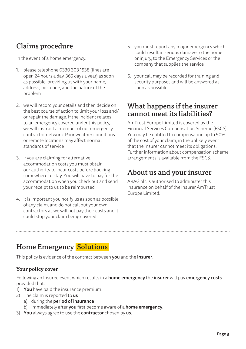## Claims procedure

In the event of a home emergency:

- 1. please telephone 0330 303 1538 (lines are open 24 hours a day, 365 days a year) as soon as possible, providing us with your name, address, postcode, and the nature of the problem
- 2. we will record your details and then decide on the best course of action to limit your loss and/ or repair the damage. If the incident relates to an emergency covered under this policy, we will instruct a member of our emergency contractor network. Poor weather conditions or remote locations may affect normal standards of service
- 3. if you are claiming for alternative accommodation costs you must obtain our authority to incur costs before booking somewhere to stay. You will have to pay for the accommodation when you check out and send your receipt to us to be reimbursed
- 4. it is important you notify us as soon as possible of any claim, and do not call out your own contractors as we will not pay their costs and it could stop your claim being covered
- 5. you must report any major emergency which could result in serious damage to the home or injury, to the Emergency Services or the company that supplies the service
- 6. your call may be recorded for training and security purposes and will be answered as soon as possible.

### What happens if the insurer cannot meet its liabilities?

AmTrust Europe Limited is covered by the Financial Services Compensation Scheme (FSCS). You may be entitled to compensation up to 90% of the cost of your claim, in the unlikely event that the insurer cannot meet its obligations. Further information about compensation scheme arrangements is available from the FSCS.

## About us and your insurer

ARAG plc is authorised to administer this insurance on behalf of the insurer AmTrust Europe Limited.

## Home Emergency Solutions

This policy is evidence of the contract between you and the insurer.

#### Your policy cover

Following an Insured event which results in a home emergency the insurer will pay emergency costs provided that:

- 1) You have paid the insurance premium.
- 2) The claim is reported to us
	- a) during the period of insurance
	- b) immediately after you first become aware of a home emergency.
- 3) You always agree to use the contractor chosen by us.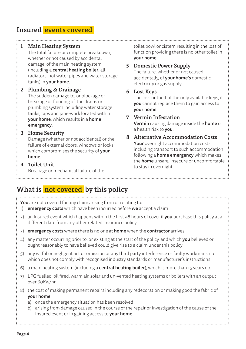## Insured events covered

#### 1 Main Heating System

 The total failure or complete breakdown, whether or not caused by accidental damage, of the main heating system (including a central heating boiler, all radiators, hot water pipes and water storage tanks) in your home.

#### 2 Plumbing & Drainage

 The sudden damage to, or blockage or breakage or flooding of, the drains or plumbing system including water storage tanks, taps and pipe-work located within your home, which results in a home emergency.

#### 3 Home Security

 Damage (whether or not accidental) or the failure of external doors, windows or locks; which compromises the security of your home.

#### 4 Toilet Unit

Breakage or mechanical failure of the

toilet bowl or cistern resulting in the loss of function providing there is no other toilet in your home.

#### 5 Domestic Power Supply The failure, whether or not caused

accidentally, of your home's domestic electricity or gas supply.

#### 6 Lost Keys

 The loss or theft of the only available keys, if you cannot replace them to gain access to your home.

#### 7 Vermin Infestation

 Vermin causing damage inside the home or a health risk to you.

#### 8 Alternative Accommodation Costs Your overnight accommodation costs including transport to such accommodation following a **home emergency** which makes the home unsafe, insecure or uncomfortable to stay in overnight.

## What is not covered by this policy

| <b>You</b> are not covered for any claim arising from or relating to:<br><b>emergency costs</b> which have been incurred before we accept a claim<br>1) |                                                                                                                                                                                                                                                                                                                           |  |  |
|---------------------------------------------------------------------------------------------------------------------------------------------------------|---------------------------------------------------------------------------------------------------------------------------------------------------------------------------------------------------------------------------------------------------------------------------------------------------------------------------|--|--|
| 2)                                                                                                                                                      | an Insured event which happens within the first 48 hours of cover if you purchase this policy at a<br>different date from any other related insurance policy                                                                                                                                                              |  |  |
| $\mathsf{3}$                                                                                                                                            | <b>emergency costs</b> where there is no one at <b>home</b> when the <b>contractor</b> arrives                                                                                                                                                                                                                            |  |  |
| 4)                                                                                                                                                      | any matter occurring prior to, or existing at the start of the policy, and which you believed or<br>ought reasonably to have believed could give rise to a claim under this policy                                                                                                                                        |  |  |
| 5)                                                                                                                                                      | any wilful or negligent act or omission or any third party interference or faulty workmanship<br>which does not comply with recognised industry standards or manufacturer's instructions                                                                                                                                  |  |  |
| 6)                                                                                                                                                      | a main heating system (including a <b>central heating boiler</b> ), which is more than 15 years old                                                                                                                                                                                                                       |  |  |
| 7)                                                                                                                                                      | LPG fuelled, oil fired, warm air, solar and un-vented heating systems or boilers with an output<br>over 60Kw/hr                                                                                                                                                                                                           |  |  |
| 8)                                                                                                                                                      | the cost of making permanent repairs including any redecoration or making good the fabric of<br>your home<br>once the emergency situation has been resolved<br>a)<br>arising from damage caused in the course of the repair or investigation of the cause of the<br>b)<br>Insured event or in gaining access to your home |  |  |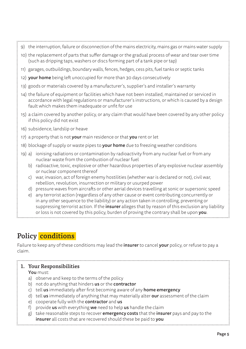|                                                                                                                                                                                                                                                               | 10) the replacement of parts that suffer damage or the gradual process of wear and tear over time<br>(such as dripping taps, washers or discs forming part of a tank pipe or tap)                                                                       |  |  |  |
|---------------------------------------------------------------------------------------------------------------------------------------------------------------------------------------------------------------------------------------------------------------|---------------------------------------------------------------------------------------------------------------------------------------------------------------------------------------------------------------------------------------------------------|--|--|--|
|                                                                                                                                                                                                                                                               | 11) garages, outbuildings, boundary walls, fences, hedges, cess pits, fuel tanks or septic tanks                                                                                                                                                        |  |  |  |
|                                                                                                                                                                                                                                                               | 12) your home being left unoccupied for more than 30 days consecutively                                                                                                                                                                                 |  |  |  |
| 13) goods or materials covered by a manufacturer's, supplier's and installer's warranty                                                                                                                                                                       |                                                                                                                                                                                                                                                         |  |  |  |
| 14) the failure of equipment or facilities which have not been installed, maintained or serviced in<br>accordance with legal regulations or manufacturer's instructions, or which is caused by a design<br>fault which makes them inadequate or unfit for use |                                                                                                                                                                                                                                                         |  |  |  |
| 15) a claim covered by another policy, or any claim that would have been covered by any other policy<br>if this policy did not exist                                                                                                                          |                                                                                                                                                                                                                                                         |  |  |  |
| 16) subsidence, landslip or heave                                                                                                                                                                                                                             |                                                                                                                                                                                                                                                         |  |  |  |
| 17) a property that is not <b>your</b> main residence or that <b>you</b> rent or let                                                                                                                                                                          |                                                                                                                                                                                                                                                         |  |  |  |
| 18) blockage of supply or waste pipes to <b>your home</b> due to freezing weather conditions                                                                                                                                                                  |                                                                                                                                                                                                                                                         |  |  |  |
|                                                                                                                                                                                                                                                               | 19) a) ionising radiations or contamination by radioactivity from any nuclear fuel or from any<br>nuclear waste from the combustion of nuclear fuel<br>b) radioactive, toxic, explosive or other hazardous properties of any explosive nuclear assembly |  |  |  |
|                                                                                                                                                                                                                                                               | or nuclear component thereof                                                                                                                                                                                                                            |  |  |  |

9) the interruption, failure or disconnection of the mains electricity, mains gas or mains water supply

- c) war, invasion, act of foreign enemy hostilities (whether war is declared or not), civil war, rebellion, revolution, insurrection or military or usurped power
- d) pressure waves from aircrafts or other aerial devices travelling at sonic or supersonic speed
- e) any terrorist action (regardless of any other cause or event contributing concurrently or in any other sequence to the liability) or any action taken in controlling, preventing or suppressing terrorist action. If the **insurer** alleges that by reason of this exclusion any liability or loss is not covered by this policy, burden of proving the contrary shall be upon you.

## Policy conditions

Failure to keep any of these conditions may lead the **insurer** to cancel **your** policy, or refuse to pay a claim.

#### 1. Your Responsibilities

#### You must:

- a) observe and keep to the terms of the policy
- b) not do anything that hinders us or the contractor
- c) tell  $us$  immediately after first becoming aware of any **home emergency**
- d) tell us immediately of anything that may materially alter our assessment of the claim
- e) cooperate fully with the **contractor** and us
- f) provide  $us$  with everything we need to help us handle the claim
- g) take reasonable steps to recover **emergency costs** that the insurer pays and pay to the insurer all costs that are recovered should these be paid to you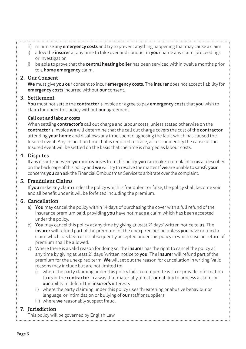- h) minimise any **emergency costs** and try to prevent anything happening that may cause a claim
- i) allow the insurer at any time to take over and conduct in your name any claim, proceedings or investigation
- j) be able to prove that the **central heating boiler** has been serviced within twelve months prior to a **home emergency** claim.

#### 2. Our Consent

We must give you our consent to incur emergency costs. The insurer does not accept liability for emergency costs incurred without our consent.

#### 3. Settlement

You must not settle the contractor's invoice or agree to pay emergency costs that you wish to claim for under this policy without **our** agreement.

#### Call out and labour costs

When settling **contractor's** call out charge and labour costs, unless stated otherwise on the contractor's invoice we will determine that the call out charge covers the cost of the contractor attending your home and disallows any time spent diagnosing the fault which has caused the Insured event. Any inspection time that is required to trace, access or identify the cause of the Insured event will be settled on the basis that the time is charged as labour costs.

#### 4. Disputes

If any dispute between you and us arises from this policy, you can make a complaint to us as described on the back page of this policy and we will try to resolve the matter. If we are unable to satisfy your concerns you can ask the Financial Ombudsman Service to arbitrate over the complaint.

#### 5. Fraudulent Claims

If you make any claim under the policy which is fraudulent or false, the policy shall become void and all benefit under it will be forfeited including the premium.

#### 6. Cancellation

- a) You may cancel the policy within 14 days of purchasing the cover with a full refund of the insurance premium paid, providing you have not made a claim which has been accepted under the policy.
- b) You may cancel this policy at any time by giving at least 21 days' written notice to us. The insurer will refund part of the premium for the unexpired period unless you have notified a claim which has been or is subsequently accepted under this policy in which case no return of premium shall be allowed.
- c) Where there is a valid reason for doing so, the **insurer** has the right to cancel the policy at any time by giving at least 21 days 'written notice to **you**. The **insurer** will refund part of the premium for the unexpired term. We will set out the reason for cancellation in writing. Valid reasons may include but are not limited to:
	- i) where the party claiming under this policy fails to co-operate with or provide information to us or the contractor in a way that materially affects our ability to process a claim, or our ability to defend the insurer's interests
	- ii) where the party claiming under this policy uses threatening or abusive behaviour or language, or intimidation or bullying of our staff or suppliers
	- iii) where we reasonably suspect fraud.

#### 7. Jurisdiction

This policy will be governed by English Law.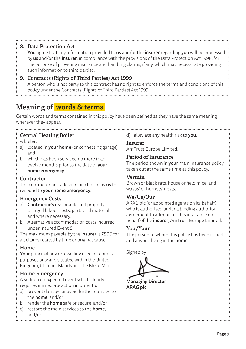#### 8. Data Protection Act

You agree that any information provided to us and/or the insurer regarding you will be processed by us and/or the *insurer*, in compliance with the provisions of the Data Protection Act 1998, for the purpose of providing insurance and handling claims, if any, which may necessitate providing such information to third parties.

#### 9. Contracts (Rights of Third Parties) Act 1999

 A person who is not party to this contract has no right to enforce the terms and conditions of this policy under the Contracts (Rights of Third Parties) Act 1999.

## Meaning of words & terms

Certain words and terms contained in this policy have been defined as they have the same meaning wherever they appear.

#### Central Heating Boiler

A boiler:

- a) located in **vour home** (or connecting garage). and
- b) which has been serviced no more than twelve months prior to the date of **your** home emergency.

#### **Contractor**

The contractor or tradesperson chosen by us to respond to your home emergency.

#### Emergency Costs

- a) Contractor's reasonable and properly charged labour costs, parts and materials, and where necessary,
- b) Alternative accommodation costs incurred under Insured Event 8.

The maximum payable by the *insurer* is £500 for all claims related by time or original cause.

#### Home

Your principal private dwelling used for domestic purposes only and situated within the United Kingdom, Channel Islands and the Isle of Man.

#### Home Emergency

A sudden unexpected event which clearly requires immediate action in order to:

- a) prevent damage or avoid further damage to the home, and/or
- b) render the **home** safe or secure, and/or
- c) restore the main services to the **home**. and/or

#### d) alleviate any health risk to you.

Insurer

AmTrust Europe Limited.

#### Period of Insurance

The period shown in **your** main insurance policy taken out at the same time as this policy.

#### Vermin

Brown or black rats, house or field mice, and wasps' or hornets' nests.

#### We/Us/Our

ARAG plc (or appointed agents on its behalf) who is authorised under a binding authority agreement to administer this insurance on behalf of the *insurer*, AmTrust Europe Limited.

#### You/Your

The person to whom this policy has been issued and anyone living in the **home**.

Signed by

Managing Director ARAG plc